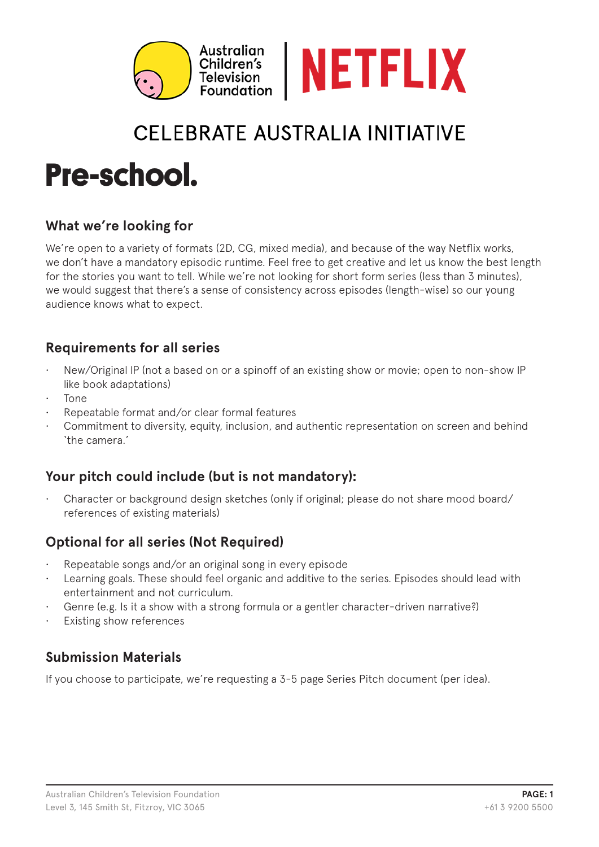

# CFI FBRATE AUSTRAI IA INITIATIVE

# **Pre-school.**

# **What we're looking for**

We're open to a variety of formats (2D, CG, mixed media), and because of the way Netflix works, we don't have a mandatory episodic runtime. Feel free to get creative and let us know the best length for the stories you want to tell. While we're not looking for short form series (less than 3 minutes), we would suggest that there's a sense of consistency across episodes (length-wise) so our young audience knows what to expect.

# **Requirements for all series**

- New/Original IP (not a based on or a spinoff of an existing show or movie; open to non-show IP like book adaptations)
- Tone
- Repeatable format and/or clear formal features
- Commitment to diversity, equity, inclusion, and authentic representation on screen and behind 'the camera.'

#### **Your pitch could include (but is not mandatory):**

• Character or background design sketches (only if original; please do not share mood board/ references of existing materials)

# **Optional for all series (Not Required)**

- Repeatable songs and/or an original song in every episode
- Learning goals. These should feel organic and additive to the series. Episodes should lead with entertainment and not curriculum.
- Genre (e.g. Is it a show with a strong formula or a gentler character-driven narrative?)
- Existing show references

# **Submission Materials**

If you choose to participate, we're requesting a 3-5 page Series Pitch document (per idea).